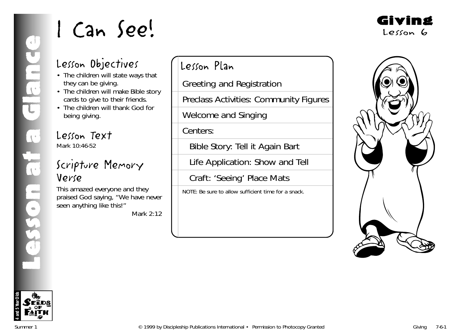## Lesson Objectives

- The children will state ways that they can be giving.
- The children will make Bible story cards to give to their friends.
- The children will thank God for being giving.

Lesson Text Mark 10:46-52

## Scripture Memory Verse

This amazed everyone and they praised God saying, "We have never seen anything like this!"

Mark 2:12

Lesson Plan

Greeting and Registration

Preclass Activities: Community Figures

Welcome and Singing

Centers:

Bible Story: Tell it Again Bart

Life Application: Show and Tell

Craft: 'Seeing' Place Mats

NOTE: Be sure to allow sufficient time for a snack.



Giving

Lesson 6

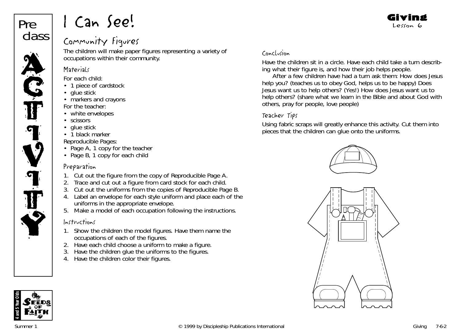

## Community Figures

The children will make paper figures representing a variety of occupations within their community.

## **Materials**

*For each child:*

- 1 piece of cardstock
- glue stick
- markers and crayons
- *For the teacher:*
- white envelopes
- scissors
- glue stick
- 1 black marker
- *Reproducible Pages:*
- Page A, 1 copy for the teacher
- Page B, 1 copy for each child

## Preparation

- 1. Cut out the figure from the copy of Reproducible Page A.
- 2. Trace and cut out a figure from card stock for each child.
- 3. Cut out the uniforms from the copies of Reproducible Page B.
- 4. Label an envelope for each style uniform and place each of the uniforms in the appropriate envelope.
- 5. Make a model of each occupation following the instructions.

## Instructions

- 1. Show the children the model figures. Have them name the occupations of each of the figures.
- 2. Have each child choose a uniform to make a figure.
- 3. Have the children glue the uniforms to the figures.
- 4. Have the children color their figures.

## Conclusion

Have the children sit in a circle. Have each child take a turn describing what their figure is, and how their job helps people.

After a few children have had a turn ask them: *How does Jesus help you?* (teaches us to obey God, helps us to be happy) *Does Jesus want us to help others?* (Yes!) *How does Jesus want us to help others?* (share what we learn in the Bible and about God with others, pray for people, love people)

## Teacher Tips

Using fabric scraps will greatly enhance this activity. Cut them into pieces that the children can glue onto the uniforms.







Giving Lesson 6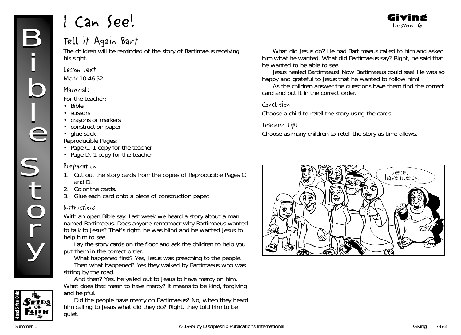## Tell it Again Bart

The children will be reminded of the story of Bartimaeus receiving his sight.

#### Lesson Text

Mark 10:46-52

#### **Materials**

*For the teacher:*

- Bible
- scissors
- crayons or markers
- construction paper
- glue stick
- *Reproducible Pages:*
- Page C, 1 copy for the teacher
- Page D, 1 copy for the teacher

#### Preparation

- 1. Cut out the story cards from the copies of Reproducible Pages C and D.
- 2. Color the cards.
- 3. Glue each card onto a piece of construction paper.

## Instructions

With an open Bible say: *Last week we heard a story about a man named Bartimaeus. Does anyone remember why Bartimaeus wanted to talk to Jesus? That's right, he was blind and he wanted Jesus to help him to see.*

Lay the story cards on the floor and ask the children to help you put them in the correct order.

*What happened first? Yes, Jesus was preaching to the people. Then what happened? Yes they walked by Bartimaeus who was sitting by the road.*

*And then? Yes, he yelled out to Jesus to have mercy on him. What does that mean to have mercy? It means to be kind, forgiving and helpful.*

*Did the people have mercy on Bartimaeus? No, when they heard him calling to Jesus what did they do? Right, they told him to be quiet.*

*What did Jesus do? He had Bartimaeus called to him and asked him what he wanted. What did Bartimaeus say? Right, he said that he wanted to be able to see.*

Giving Lesson 6

*Jesus healed Bartimaeus! Now Bartimaeus could see! He was so happy and grateful to Jesus that he wanted to follow him!*

As the children answer the questions have them find the correct card and put it in the correct order.

#### Conclusion

Choose a child to retell the story using the cards.

#### Teacher Tips

Choose as many children to retell the story as time allows.





FĒDS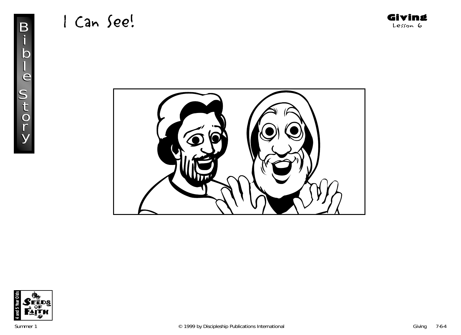

Giving Lesson 6



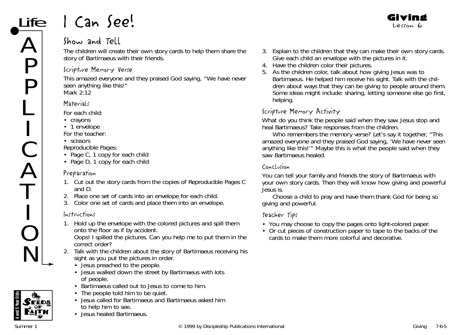## Show and Tell

The children will create their own story cards to help them share the story of Bartimaeus with their friends.

## Scripture Memory Verse

This amazed everyone and they praised God saying, "We have never seen anything like this!" *Mark 2:12*

## **Materials**

ife

A

P

P

L

**In the contract of the contract of the contract of the contract of the contract of the contract of the contract of the contract of the contract of the contract of the contract of the contract of the contract of the contra** 

 $\big($ 

A

T

**In the contract of the contract of the contract of the contract of the contract of the contract of the contract of the contract of the contract of the contract of the contract of the contract of the contract of the contra** 

O

N

*For each child:*

- crayons
- 1 envelope
- *For the teacher:*
- scissors

*Reproducible Pages:*

- Page C, 1 copy for each child
- Page D, 1 copy for each child

## Preparation

- 1. Cut out the story cards from the copies of Reproducible Pages C and D.
- 2. Place one set of cards into an envelope for each child.
- 3. Color one set of cards and place them into an envelope.

## Instructions

1. Hold up the envelope with the colored pictures and spill them onto the floor as if by accident.

*Oops! I spilled the pictures. Can you help me to put them in the correct order?*

- 2. Talk with the children about the story of Bartimaeus receiving his sight as you put the pictures in order.
	- Jesus preached to the people.
	- Jesus walked down the street by Bartimaeus with lots of people.
	- Bartimaeus called out to Jesus to come to him.
	- The people told him to be quiet.
	- Jesus called for Bartimaeus and Bartimaeus asked him
	- to help him to see.
	- Jesus healed Bartimaeus.

3. Explain to the children that they can make their own story cards. Give each child an envelope with the pictures in it.

Giving Lesson 6

- 4. Have the children color their pictures.
- 5. As the children color, talk about how giving Jesus was to Bartimaeus. He helped him receive his sight. Talk with the children about ways that they can be giving to people around them. Some ideas might include: sharing, letting someone else go first, helping.

## Scripture Memory Activity

*What do you think the people said when they saw Jesus stop and heal Bartimaeus?* Take responses from the children.

*Who remembers the memory verse? Let's say it together, "This* amazed everyone and they praised God saying, 'We have never seen anything like this!'" *Maybe this is what the people said when they saw Bartimaeus healed.*

#### Conclusion

*You can tell your family and friends the story of Bartimaeus with your own story cards. Then they will know how giving and powerful Jesus is.*

Choose a child to pray and have them thank God for being so giving and powerful.

## Teacher Tips

- You may choose to copy the pages onto light-colored paper.
- Or cut pieces of construction paper to tape to the backs of the cards to make them more colorful and decorative.

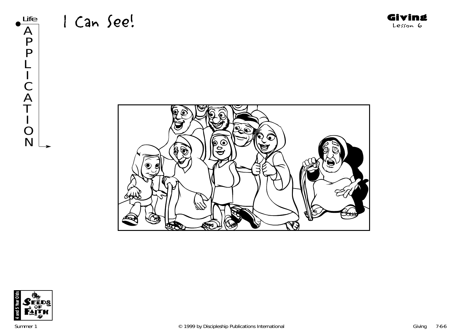





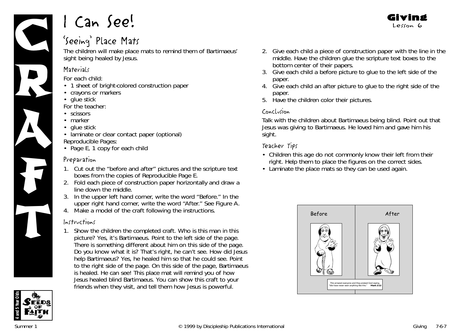

## 'Seeing' Place Mats

The children will make place mats to remind them of Bartimaeus' sight being healed by Jesus.

## **Materials**

*For each child:*

- 1 sheet of bright-colored construction paper
- crayons or markers
- glue stick

*For the teacher:*

- scissors
- marker
- glue stick
- laminate or clear contact paper (optional) *Reproducible Pages:*
- Page E, 1 copy for each child

## Preparation

- 1. Cut out the "before and after" pictures and the scripture text boxes from the copies of Reproducible Page E.
- 2. Fold each piece of construction paper horizontally and draw a line down the middle.
- 3. In the upper left hand corner, write the word "Before." In the upper right hand corner, write the word "After." See Figure A.
- 4. Make a model of the craft following the instructions.

## Instructions

1. Show the children the completed craft. *Who is this man in this picture? Yes, it's Bartimaeus.* Point to the left side of the page*. There is something different about him on this side of the page. Do you know what it is? That's right, he can't see. How did Jesus help Bartimaeus? Yes, he healed him so that he could see.* Point to the right side of the page*. On this side of the page, Bartimaeus is healed. He can see! This place mat will remind you of how Jesus healed blind Bartimaeus. You can show this craft to your friends when they visit, and tell them how Jesus is powerful.*



Giving Lesson 6

- 3. Give each child a before picture to glue to the left side of the paper.
- 4. Give each child an after picture to glue to the right side of the paper.
- 5. Have the children color their pictures.

## Conclusion

Talk with the children about Bartimaeus being blind. Point out that Jesus was giving to Bartimaeus. He loved him and gave him his sight.

## Teacher Tips

- Children this age do not commonly know their left from their right. Help them to place the figures on the correct sides.
- Laminate the place mats so they can be used again.



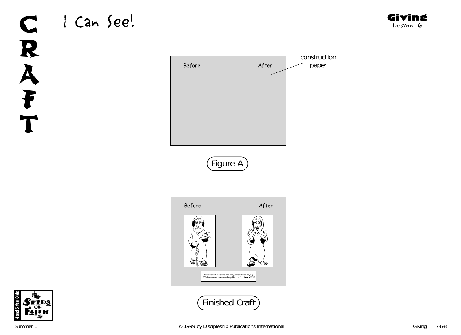# C | Can See! R A F T









Giving Lesson 6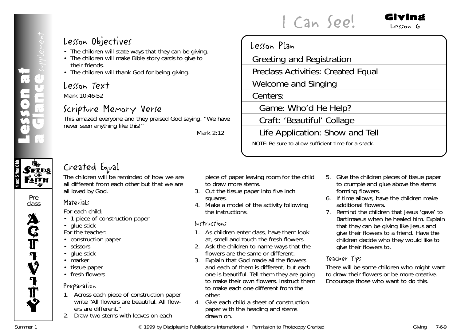## **4 and 5 Year Olds**  $\mathcal{S}$ eeds **PAITH**

Pre class



## Lesson Objectives

- The children will state ways that they can be giving.
- The children will make Bible story cards to give to their friends.
- The children will thank God for being giving.

## Lesson Text

Mark 10:46-52

## Scripture Memory Verse

This amazed everyone and they praised God saying, "We have never seen anything like this!"

*Mark 2:12*

## Lesson Plan



I Can See!

## Created Equal

The children will be reminded of how we are all different from each other but that we are all loved by God.

## **Materials**

*For each child:*

- 1 piece of construction paper
- glue stick

*For the teacher:*

- construction paper
- scissors
- glue stick
- marker
- tissue paper
- fresh flowers

## Preparation

- 1. Across each piece of construction paper write "All flowers are beautiful. All flowers are different."
- 2. Draw two stems with leaves on each

piece of paper leaving room for the child to draw more stems.

- 3. Cut the tissue paper into five inch squares.
- 4. Make a model of the activity following the instructions.

## Instructions

- 1. As children enter class, have them look at, smell and touch the fresh flowers.
- 2. Ask the children to name ways that the flowers are the same or different.
- 3. Explain that God made all the flowers and each of them is different, but each one is beautiful. Tell them they are going to make their own flowers. Instruct them to make each one different from the other.
- 4. Give each child a sheet of construction paper with the heading and stems drawn on.

5. Give the children pieces of tissue paper to crumple and glue above the stems forming flowers.

Giving Lesson 6

- 6. If time allows, have the children make additional flowers.
- 7. Remind the children that Jesus 'gave' to Bartimaeus when he healed him. Explain that they can be giving like Jesus and give their flowers to a friend. Have the children decide who they would like to give their flowers to.

## Teacher Tips

There will be some children who might want to draw their flowers or be more creative. Encourage those who want to do this.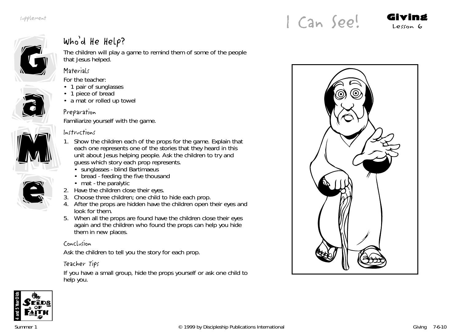

a

a

## Who'd He Help?

The children will play a game to remind them of some of the people that Jesus helped.

## **Materials**

*For the teacher:*

- 1 pair of sunglasses
- 1 piece of bread
- a mat or rolled up towel

## Preparation

Familiarize yourself with the game.

## Instructions

M M



- 1. Show the children each of the props for the game. Explain that each one represents one of the stories that they heard in this unit about Jesus helping people. Ask the children to try and guess which story each prop represents.
	- sunglasses blind Bartimaeus
	- bread feeding the five thousand
	- mat the paralytic
- 2. Have the children close their eyes.
- 3. Choose three children; one child to hide each prop.
- 4. After the props are hidden have the children open their eyes and look for them.
- 5. When all the props are found have the children close their eyes again and the children who found the props can help you hide them in new places.

## Conclusion

Ask the children to tell you the story for each prop.

## Teacher Tips

If you have a small group, hide the props yourself or ask one child to help you.





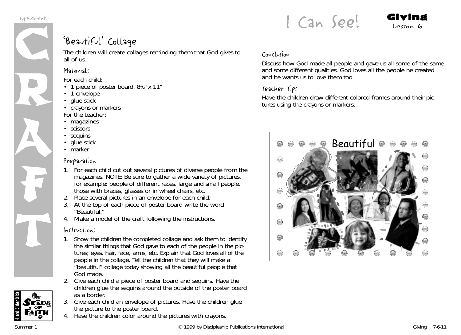

## 'Beautiful' Collage

The children will create collages reminding them that God gives to all of us.

## **Materials**

*For each child:*

- 1 piece of poster board, 8<sup>1</sup>/<sub>2</sub>" x 11"
- 1 envelope
- glue stick
- crayons or markers *For the teacher:*
- magazines
- scissors
- sequins
- glue stick
- marker

#### Preparation

- 1. For each child cut out several pictures of diverse people from the magazines. NOTE: Be sure to gather a wide variety of pictures, for example: people of different races, large and small people, those with braces, glasses or in wheel chairs, etc.
- 2. Place several pictures in an envelope for each child.
- 3. At the top of each piece of poster board write the word "Beautiful."
- 4. Make a model of the craft following the instructions.

## Instructions

- 1. Show the children the completed collage and ask them to identify the similar things that God gave to each of the people in the pictures; eyes, hair, face, arms, etc. Explain that God loves all of the people in the collage. Tell the children that they will make a "beautiful" collage today showing all the beautiful people that God made.
- 2. Give each child a piece of poster board and sequins. Have the children glue the sequins around the outside of the poster board as a border.
- 3. Give each child an envelope of pictures. Have the children glue the picture to the poster board.
- 4. Have the children color around the pictures with crayons.

## Conclusion

Discuss how God made all people and gave us all some of the same and some different qualities. God loves all the people he created and he wants us to love them too.

 $l$  Can See! Giving

#### Teacher Tips

Have the children draw different colored frames around their pictures using the crayons or markers.



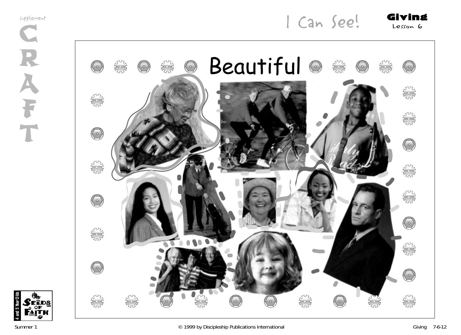supplement



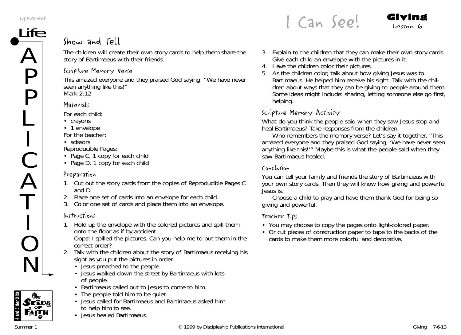

## Show and Tell

The children will create their own story cards to help them share the story of Bartimaeus with their friends.

#### Scripture Memory Verse

This amazed everyone and they praised God saying, "We have never seen anything like this!" *Mark 2:12*

#### **Materials**

*For each child:*

- crayons
- 1 envelope

*For the teacher:*

• scissors

*Reproducible Pages:*

- Page C, 1 copy for each child
- Page D, 1 copy for each child

## Preparation

- 1. Cut out the story cards from the copies of Reproducible Pages C and D.
- 2. Place one set of cards into an envelope for each child.
- 3. Color one set of cards and place them into an envelope.

## Instructions

1. Hold up the envelope with the colored pictures and spill them onto the floor as if by accident.

*Oops! I spilled the pictures. Can you help me to put them in the correct order?*

- 2. Talk with the children about the story of Bartimaeus receiving his sight as you put the pictures in order.
	- Jesus preached to the people.
	- Jesus walked down the street by Bartimaeus with lots of people.
	- Bartimaeus called out to Jesus to come to him.
	- The people told him to be quiet.
	- Jesus called for Bartimaeus and Bartimaeus asked him to help him to see.
	- Jesus healed Bartimaeus.

 $l$  Can See! Giving

- 
- 3. Explain to the children that they can make their own story cards. Give each child an envelope with the pictures in it.
- 4. Have the children color their pictures.
- 5. As the children color, talk about how giving Jesus was to Bartimaeus. He helped him receive his sight. Talk with the children about ways that they can be giving to people around them. Some ideas might include: sharing, letting someone else go first, helping.

## Scripture Memory Activity

*What do you think the people said when they saw Jesus stop and heal Bartimaeus?* Take responses from the children.

*Who remembers the memory verse? Let's say it together, "This* amazed everyone and they praised God saying, 'We have never seen anything like this!'" *Maybe this is what the people said when they saw Bartimaeus healed.*

## Conclusion

*You can tell your family and friends the story of Bartimaeus with your own story cards. Then they will know how giving and powerful Jesus is.*

Choose a child to pray and have them thank God for being so giving and powerful.

## Teacher Tips

- You may choose to copy the pages onto light-colored paper.
- Or cut pieces of construction paper to tape to the backs of the cards to make them more colorful and decorative.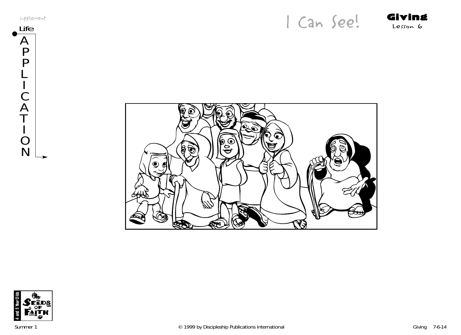supplement

Supplement<br>Life **Giving** 



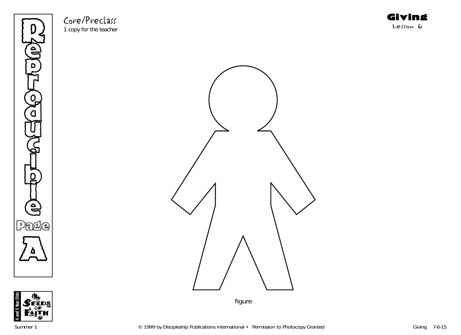

Core/Preclass 1 copy for the teacher





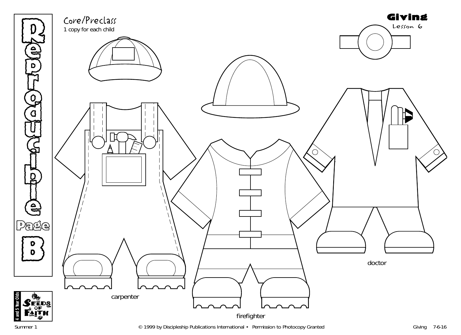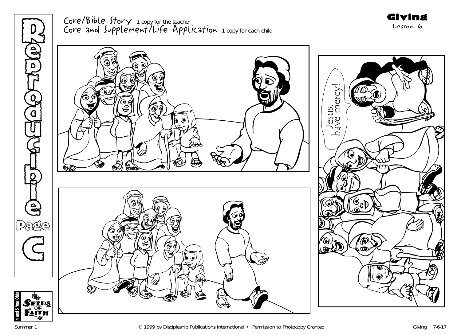

# Core/Bible Story 1 copy for the teacher Core and Supplement/Life Application 1 copy for each child Giving Lesson 6



**4 and 5 Year Olds**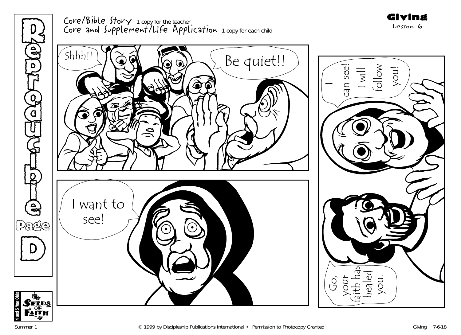

Core/Bible Story 1 copy for the teacher Core and Supplement/LIfe Application 1 copy for each child Giving Lesson 6



**4 and 5 Year Olds**